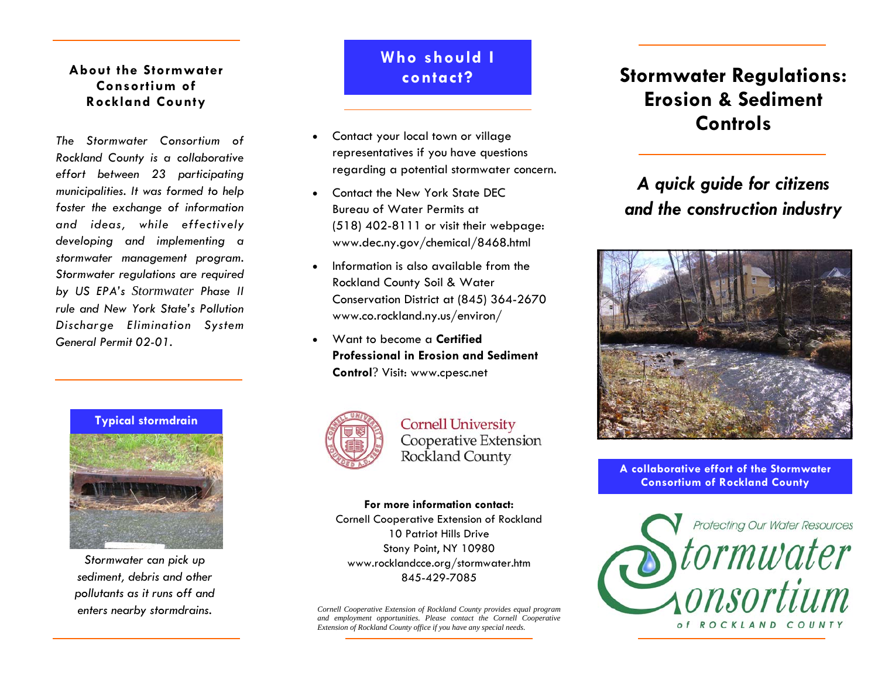### **About the Stormwater Consortium of Rockland County**

*The Stormwater Consortium of Rockland County is a collaborative effort between 23 participating municipalities. It was formed to help foster the exchange of information and ideas, while effectively developing and implementing a stormwater management program. Stormwater regulations are required by US EPA's Stormwater Phase II rule and New York State's Pollution Discharge Elimination System General Permit 02-01.* 





*Stormwater can pick up sediment, debris and other pollutants as it runs off and enters nearby stormdrains.* 

## **Who should I contact?**

- $\bullet$  Contact your local town or village representatives if you have questions regarding a potential stormwater concern.
- $\bullet$  Contact the New York State DEC Bureau of Water Permits at (518) 402-8111 or visit their webpage: www.dec.ny.gov/chemical/8468.html
- $\bullet$  Information is also available from the Rockland County Soil & Water Conservation District at (845) 364-2670 www.co.rockland.ny.us/environ/
- $\bullet$  Want to become a **Certified Professional in Erosion and Sediment Control**? Visit: www.cpesc.net



**Cornell University** Cooperative Extension Rockland County

#### **For more information contact:**

Cornell Cooperative Extension of Rockland 10 Patriot Hills Drive Stony Point, NY 10980 www.rocklandcce.org/stormwater.htm 845-429-7085

*Cornell Cooperative Extension of Rockland County provides equal program and employment opportunities. Please contact the Cornell Cooperative Extension of Rockland County office if you have any special needs.* 

## **Stormwater Regulations: Erosion & Sediment Controls**

## *A quick guide for citizens and the construction industry*



**A collaborative effort of the Stormwater Consortium of Rockland County**